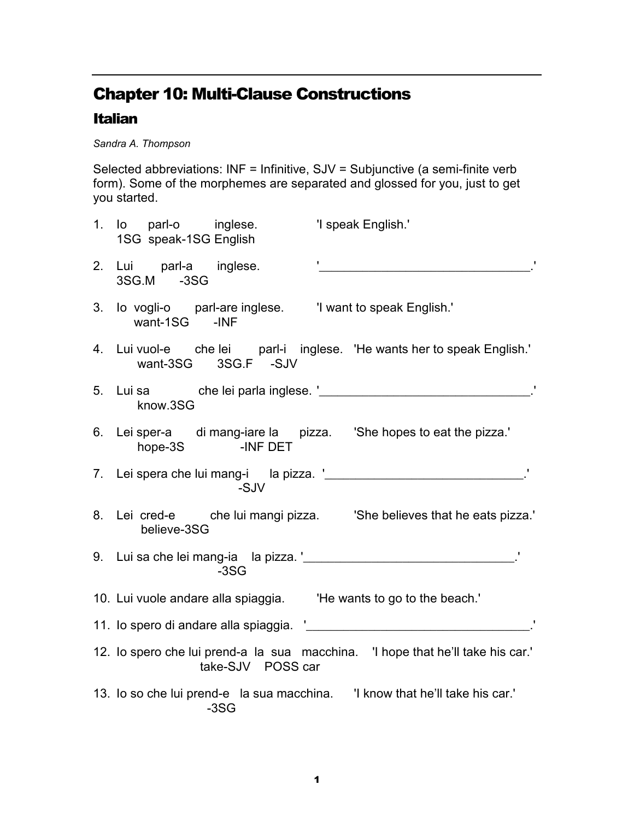## Chapter 10: Multi-Clause Constructions

## Italian

Sandra A. Thompson

Selected abbreviations: INF = Infinitive, SJV = Subjunctive (a semi-finite verb form). Some of the morphemes are separated and glossed for you, just to get you started.

|    | 1. Io parl-o inglese.<br>1SG speak-1SG English                                         | 'I speak English.'                                                              |
|----|----------------------------------------------------------------------------------------|---------------------------------------------------------------------------------|
| 2. | Lui parl-a inglese.<br>3SG.M -3SG                                                      |                                                                                 |
|    | 3. Io vogli-o parl-are inglese.  I want to speak English.'<br>want-1SG - INF           |                                                                                 |
|    | want-3SG 3SG.F -SJV                                                                    | 4. Lui vuol-e che lei parl-i inglese. 'He wants her to speak English.'          |
|    | know.3SG                                                                               |                                                                                 |
|    | 6. Lei sper-a di mang-iare la pizza. 'She hopes to eat the pizza.'<br>hope-3S -INF DET |                                                                                 |
|    | -SJV                                                                                   |                                                                                 |
|    | believe-3SG                                                                            | 8. Lei cred-e che lui mangi pizza. 'She believes that he eats pizza.'           |
|    | $-3SG$                                                                                 |                                                                                 |
|    | 10. Lui vuole andare alla spiaggia.  He wants to go to the beach.'                     |                                                                                 |
|    | 11. lo spero di andare alla spiaggia. '_                                               |                                                                                 |
|    | take-SJV POSS car                                                                      | 12. Io spero che lui prend-a la sua macchina. 'I hope that he'll take his car.' |
|    | $-3SG$                                                                                 | 13. Io so che lui prend-e la sua macchina. I know that he'll take his car.'     |